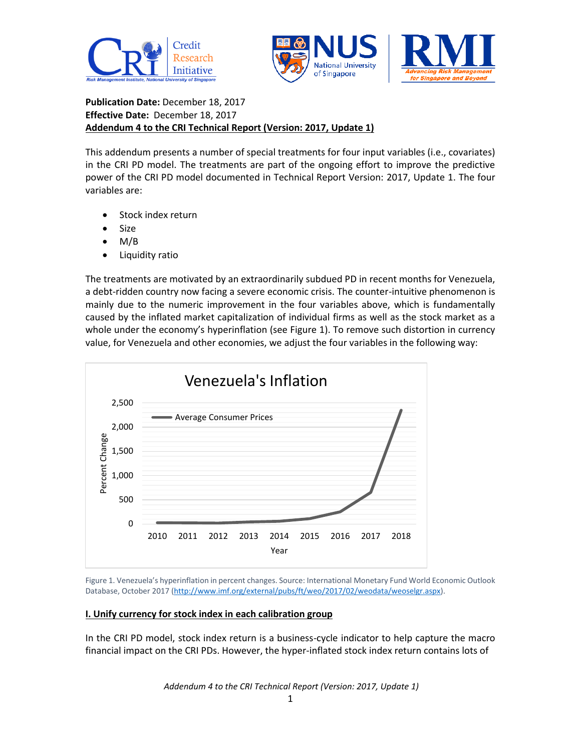



**Publication Date:** December 18, 2017 **Effective Date:** December 18, 2017 **Addendum 4 to the CRI Technical Report (Version: 2017, Update 1)**

This addendum presents a number of special treatments for four input variables (i.e., covariates) in the CRI PD model. The treatments are part of the ongoing effort to improve the predictive power of the CRI PD model documented in Technical Report Version: 2017, Update 1. The four variables are:

- Stock index return
- Size
- M/B
- Liquidity ratio

The treatments are motivated by an extraordinarily subdued PD in recent months for Venezuela, a debt-ridden country now facing a severe economic crisis. The counter-intuitive phenomenon is mainly due to the numeric improvement in the four variables above, which is fundamentally caused by the inflated market capitalization of individual firms as well as the stock market as a whole under the economy's hyperinflation (see Figure 1). To remove such distortion in currency value, for Venezuela and other economies, we adjust the four variables in the following way:



Figure 1. Venezuela's hyperinflation in percent changes. Source: International Monetary Fund World Economic Outlook Database, October 2017 [\(http://www.imf.org/external/pubs/ft/weo/2017/02/weodata/weoselgr.aspx\)](http://www.imf.org/external/pubs/ft/weo/2017/02/weodata/weoselgr.aspx).

## **I. Unify currency for stock index in each calibration group**

In the CRI PD model, stock index return is a business-cycle indicator to help capture the macro financial impact on the CRI PDs. However, the hyper-inflated stock index return contains lots of

*Addendum 4 to the CRI Technical Report (Version: 2017, Update 1)*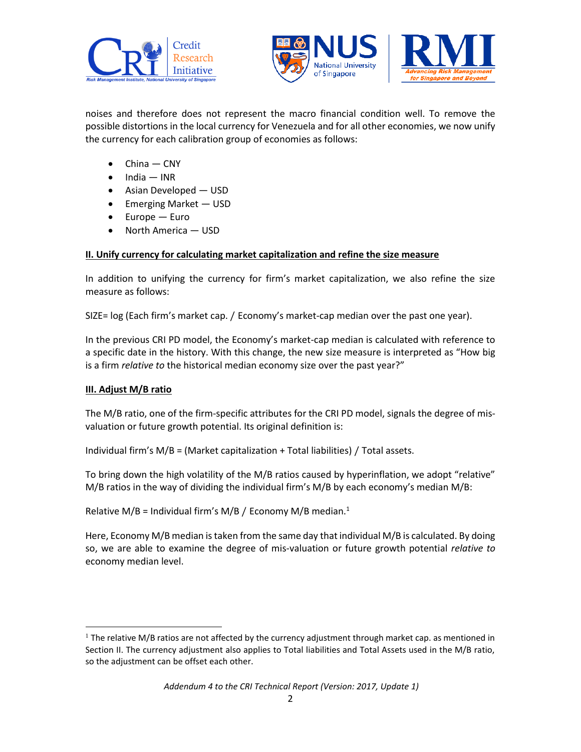



noises and therefore does not represent the macro financial condition well. To remove the possible distortions in the local currency for Venezuela and for all other economies, we now unify the currency for each calibration group of economies as follows:

- China CNY
- $\bullet$  India INR
- Asian Developed USD
- Emerging Market USD
- Europe Euro
- North America USD

# **II. Unify currency for calculating market capitalization and refine the size measure**

In addition to unifying the currency for firm's market capitalization, we also refine the size measure as follows:

SIZE= log (Each firm's market cap. / Economy's market-cap median over the past one year).

In the previous CRI PD model, the Economy's market-cap median is calculated with reference to a specific date in the history. With this change, the new size measure is interpreted as "How big is a firm *relative to* the historical median economy size over the past year?"

## **III. Adjust M/B ratio**

l

The M/B ratio, one of the firm-specific attributes for the CRI PD model, signals the degree of misvaluation or future growth potential. Its original definition is:

Individual firm's M/B = (Market capitalization + Total liabilities) / Total assets.

To bring down the high volatility of the M/B ratios caused by hyperinflation, we adopt "relative" M/B ratios in the way of dividing the individual firm's M/B by each economy's median M/B:

Relative M/B = Individual firm's M/B / Economy M/B median.<sup>1</sup>

Here, Economy M/B median is taken from the same day that individual M/B is calculated. By doing so, we are able to examine the degree of mis-valuation or future growth potential *relative to* economy median level.

 $1$  The relative M/B ratios are not affected by the currency adjustment through market cap. as mentioned in Section II. The currency adjustment also applies to Total liabilities and Total Assets used in the M/B ratio, so the adjustment can be offset each other.